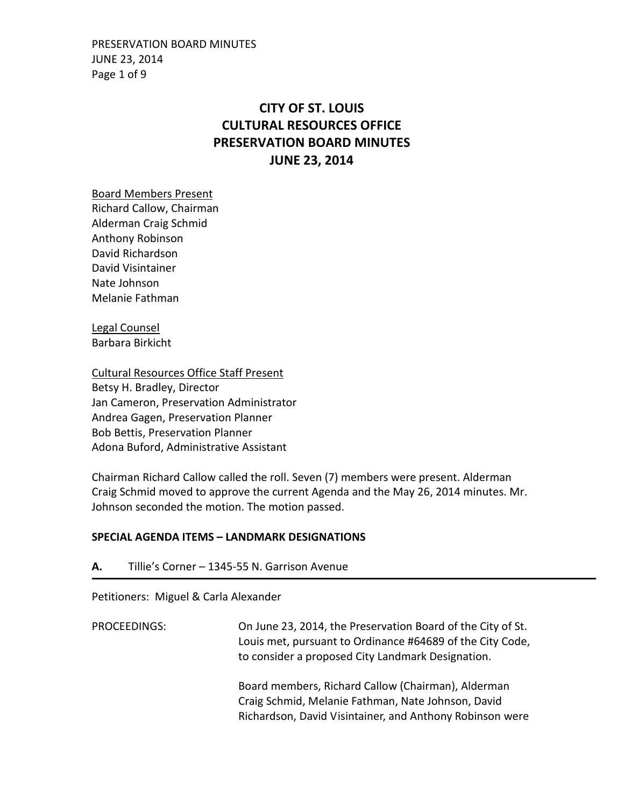PRESERVATION BOARD MINUTES JUNE 23, 2014 Page 1 of 9

# **CITY OF ST. LOUIS CULTURAL RESOURCES OFFICE PRESERVATION BOARD MINUTES JUNE 23, 2014**

Board Members Present

Richard Callow, Chairman Alderman Craig Schmid Anthony Robinson David Richardson David Visintainer Nate Johnson Melanie Fathman

Legal Counsel Barbara Birkicht

Cultural Resources Office Staff Present Betsy H. Bradley, Director Jan Cameron, Preservation Administrator Andrea Gagen, Preservation Planner Bob Bettis, Preservation Planner Adona Buford, Administrative Assistant

Chairman Richard Callow called the roll. Seven (7) members were present. Alderman Craig Schmid moved to approve the current Agenda and the May 26, 2014 minutes. Mr. Johnson seconded the motion. The motion passed.

### **SPECIAL AGENDA ITEMS – LANDMARK DESIGNATIONS**

**A.** Tillie's Corner – 1345-55 N. Garrison Avenue

Petitioners: Miguel & Carla Alexander

PROCEEDINGS: On June 23, 2014, the Preservation Board of the City of St. Louis met, pursuant to Ordinance #64689 of the City Code, to consider a proposed City Landmark Designation. Board members, Richard Callow (Chairman), Alderman Craig Schmid, Melanie Fathman, Nate Johnson, David Richardson, David Visintainer, and Anthony Robinson were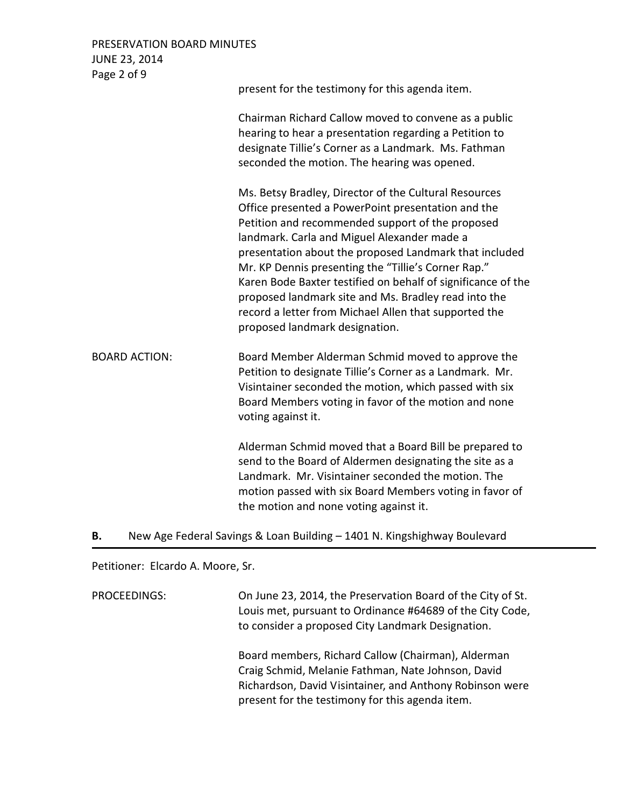PRESERVATION BOARD MINUTES JUNE 23, 2014 Page 2 of 9

| <b>Fage 2 UI J</b>   | present for the testimony for this agenda item.                                                                                                                                                                                                                                                                                                                                                                                                                                                                                                    |
|----------------------|----------------------------------------------------------------------------------------------------------------------------------------------------------------------------------------------------------------------------------------------------------------------------------------------------------------------------------------------------------------------------------------------------------------------------------------------------------------------------------------------------------------------------------------------------|
|                      | Chairman Richard Callow moved to convene as a public<br>hearing to hear a presentation regarding a Petition to<br>designate Tillie's Corner as a Landmark. Ms. Fathman<br>seconded the motion. The hearing was opened.                                                                                                                                                                                                                                                                                                                             |
|                      | Ms. Betsy Bradley, Director of the Cultural Resources<br>Office presented a PowerPoint presentation and the<br>Petition and recommended support of the proposed<br>landmark. Carla and Miguel Alexander made a<br>presentation about the proposed Landmark that included<br>Mr. KP Dennis presenting the "Tillie's Corner Rap."<br>Karen Bode Baxter testified on behalf of significance of the<br>proposed landmark site and Ms. Bradley read into the<br>record a letter from Michael Allen that supported the<br>proposed landmark designation. |
| <b>BOARD ACTION:</b> | Board Member Alderman Schmid moved to approve the<br>Petition to designate Tillie's Corner as a Landmark. Mr.<br>Visintainer seconded the motion, which passed with six<br>Board Members voting in favor of the motion and none<br>voting against it.                                                                                                                                                                                                                                                                                              |
|                      | Alderman Schmid moved that a Board Bill be prepared to<br>send to the Board of Aldermen designating the site as a<br>Landmark. Mr. Visintainer seconded the motion. The<br>motion passed with six Board Members voting in favor of<br>the motion and none voting against it.                                                                                                                                                                                                                                                                       |

#### **B.** New Age Federal Savings & Loan Building – 1401 N. Kingshighway Boulevard

Petitioner: Elcardo A. Moore, Sr.

PROCEEDINGS: On June 23, 2014, the Preservation Board of the City of St. Louis met, pursuant to Ordinance #64689 of the City Code, to consider a proposed City Landmark Designation.

> Board members, Richard Callow (Chairman), Alderman Craig Schmid, Melanie Fathman, Nate Johnson, David Richardson, David Visintainer, and Anthony Robinson were present for the testimony for this agenda item.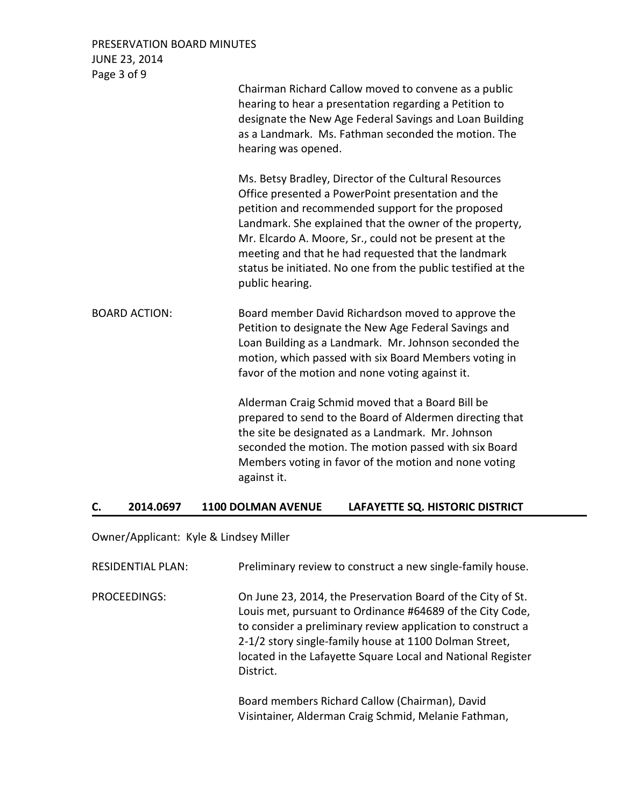PRESERVATION BOARD MINUTES JUNE 23, 2014

| Page 3 of 9          |                                                                                                                                                                                                                                                                                                                                                                                                                                 |
|----------------------|---------------------------------------------------------------------------------------------------------------------------------------------------------------------------------------------------------------------------------------------------------------------------------------------------------------------------------------------------------------------------------------------------------------------------------|
|                      | Chairman Richard Callow moved to convene as a public<br>hearing to hear a presentation regarding a Petition to<br>designate the New Age Federal Savings and Loan Building<br>as a Landmark. Ms. Fathman seconded the motion. The<br>hearing was opened.                                                                                                                                                                         |
|                      | Ms. Betsy Bradley, Director of the Cultural Resources<br>Office presented a PowerPoint presentation and the<br>petition and recommended support for the proposed<br>Landmark. She explained that the owner of the property,<br>Mr. Elcardo A. Moore, Sr., could not be present at the<br>meeting and that he had requested that the landmark<br>status be initiated. No one from the public testified at the<br>public hearing. |
| <b>BOARD ACTION:</b> | Board member David Richardson moved to approve the<br>Petition to designate the New Age Federal Savings and<br>Loan Building as a Landmark. Mr. Johnson seconded the<br>motion, which passed with six Board Members voting in<br>favor of the motion and none voting against it.                                                                                                                                                |
|                      | Alderman Craig Schmid moved that a Board Bill be<br>prepared to send to the Board of Aldermen directing that<br>the site be designated as a Landmark. Mr. Johnson<br>seconded the motion. The motion passed with six Board<br>Members voting in favor of the motion and none voting<br>against it.                                                                                                                              |

## **C. 2014.0697 1100 DOLMAN AVENUE LAFAYETTE SQ. HISTORIC DISTRICT**

Owner/Applicant: Kyle & Lindsey Miller

| RESIDENTIAL PLAN: | Preliminary review to construct a new single-family house.                                                                                                                                                                                                                                                                    |
|-------------------|-------------------------------------------------------------------------------------------------------------------------------------------------------------------------------------------------------------------------------------------------------------------------------------------------------------------------------|
| PROCEEDINGS:      | On June 23, 2014, the Preservation Board of the City of St.<br>Louis met, pursuant to Ordinance #64689 of the City Code,<br>to consider a preliminary review application to construct a<br>2-1/2 story single-family house at 1100 Dolman Street,<br>located in the Lafayette Square Local and National Register<br>District. |
|                   | Board mombors Bishard Callow (Chairman) David                                                                                                                                                                                                                                                                                 |

Board members Richard Callow (Chairman), David Visintainer, Alderman Craig Schmid, Melanie Fathman,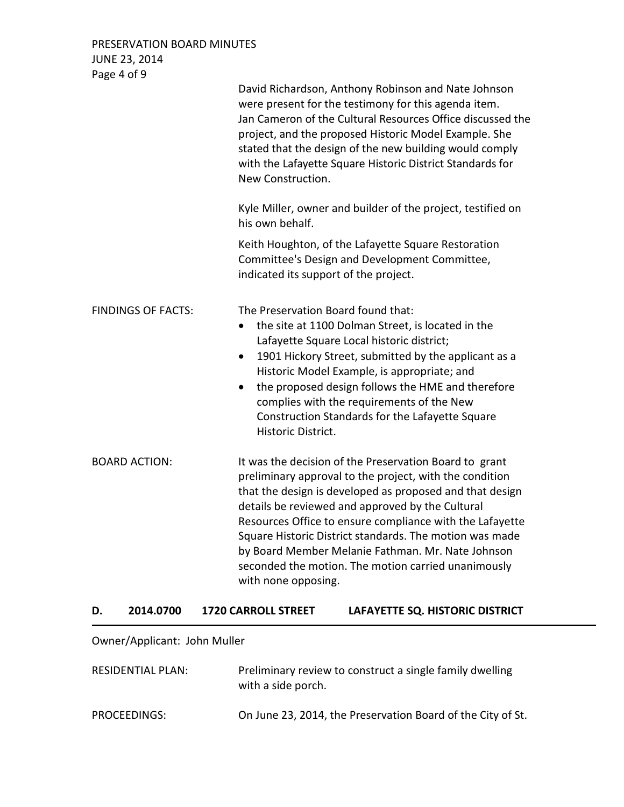PRESERVATION BOARD MINUTES JUNE 23, 2014 Page 4 of 9

|                           | David Richardson, Anthony Robinson and Nate Johnson<br>were present for the testimony for this agenda item.<br>Jan Cameron of the Cultural Resources Office discussed the<br>project, and the proposed Historic Model Example. She<br>stated that the design of the new building would comply<br>with the Lafayette Square Historic District Standards for<br>New Construction.                                                                                                             |
|---------------------------|---------------------------------------------------------------------------------------------------------------------------------------------------------------------------------------------------------------------------------------------------------------------------------------------------------------------------------------------------------------------------------------------------------------------------------------------------------------------------------------------|
|                           | Kyle Miller, owner and builder of the project, testified on<br>his own behalf.                                                                                                                                                                                                                                                                                                                                                                                                              |
|                           | Keith Houghton, of the Lafayette Square Restoration<br>Committee's Design and Development Committee,<br>indicated its support of the project.                                                                                                                                                                                                                                                                                                                                               |
| <b>FINDINGS OF FACTS:</b> | The Preservation Board found that:<br>the site at 1100 Dolman Street, is located in the<br>$\bullet$<br>Lafayette Square Local historic district;<br>1901 Hickory Street, submitted by the applicant as a<br>$\bullet$<br>Historic Model Example, is appropriate; and<br>the proposed design follows the HME and therefore<br>$\bullet$<br>complies with the requirements of the New<br>Construction Standards for the Lafayette Square<br>Historic District.                               |
| <b>BOARD ACTION:</b>      | It was the decision of the Preservation Board to grant<br>preliminary approval to the project, with the condition<br>that the design is developed as proposed and that design<br>details be reviewed and approved by the Cultural<br>Resources Office to ensure compliance with the Lafayette<br>Square Historic District standards. The motion was made<br>by Board Member Melanie Fathman. Mr. Nate Johnson<br>seconded the motion. The motion carried unanimously<br>with none opposing. |

# **D. 2014.0700 1720 CARROLL STREET LAFAYETTE SQ. HISTORIC DISTRICT**

# Owner/Applicant: John Muller

| RESIDENTIAL PLAN: | Preliminary review to construct a single family dwelling<br>with a side porch. |
|-------------------|--------------------------------------------------------------------------------|
| PROCEEDINGS:      | On June 23, 2014, the Preservation Board of the City of St.                    |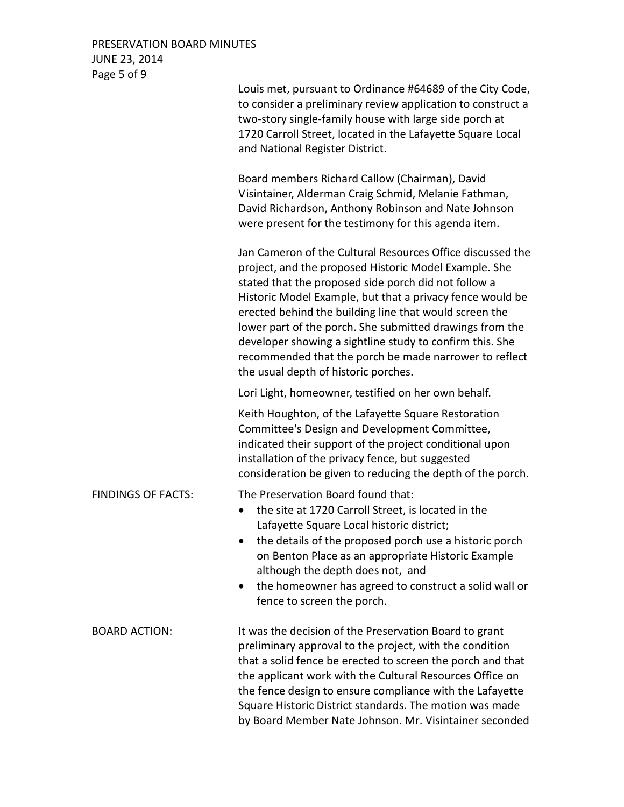## PRESERVATION BOARD MINUTES JUNE 23, 2014 Page 5 of 9

|                           | Louis met, pursuant to Ordinance #64689 of the City Code,<br>to consider a preliminary review application to construct a<br>two-story single-family house with large side porch at<br>1720 Carroll Street, located in the Lafayette Square Local<br>and National Register District.                                                                                                                                                                                                                                          |
|---------------------------|------------------------------------------------------------------------------------------------------------------------------------------------------------------------------------------------------------------------------------------------------------------------------------------------------------------------------------------------------------------------------------------------------------------------------------------------------------------------------------------------------------------------------|
|                           | Board members Richard Callow (Chairman), David<br>Visintainer, Alderman Craig Schmid, Melanie Fathman,<br>David Richardson, Anthony Robinson and Nate Johnson<br>were present for the testimony for this agenda item.                                                                                                                                                                                                                                                                                                        |
|                           | Jan Cameron of the Cultural Resources Office discussed the<br>project, and the proposed Historic Model Example. She<br>stated that the proposed side porch did not follow a<br>Historic Model Example, but that a privacy fence would be<br>erected behind the building line that would screen the<br>lower part of the porch. She submitted drawings from the<br>developer showing a sightline study to confirm this. She<br>recommended that the porch be made narrower to reflect<br>the usual depth of historic porches. |
|                           | Lori Light, homeowner, testified on her own behalf.                                                                                                                                                                                                                                                                                                                                                                                                                                                                          |
|                           | Keith Houghton, of the Lafayette Square Restoration<br>Committee's Design and Development Committee,<br>indicated their support of the project conditional upon<br>installation of the privacy fence, but suggested<br>consideration be given to reducing the depth of the porch.                                                                                                                                                                                                                                            |
| <b>FINDINGS OF FACTS:</b> | The Preservation Board found that:<br>the site at 1720 Carroll Street, is located in the<br>Lafayette Square Local historic district;<br>the details of the proposed porch use a historic porch<br>on Benton Place as an appropriate Historic Example<br>although the depth does not, and<br>the homeowner has agreed to construct a solid wall or<br>$\bullet$<br>fence to screen the porch.                                                                                                                                |
| <b>BOARD ACTION:</b>      | It was the decision of the Preservation Board to grant<br>preliminary approval to the project, with the condition<br>that a solid fence be erected to screen the porch and that<br>the applicant work with the Cultural Resources Office on<br>the fence design to ensure compliance with the Lafayette<br>Square Historic District standards. The motion was made<br>by Board Member Nate Johnson. Mr. Visintainer seconded                                                                                                 |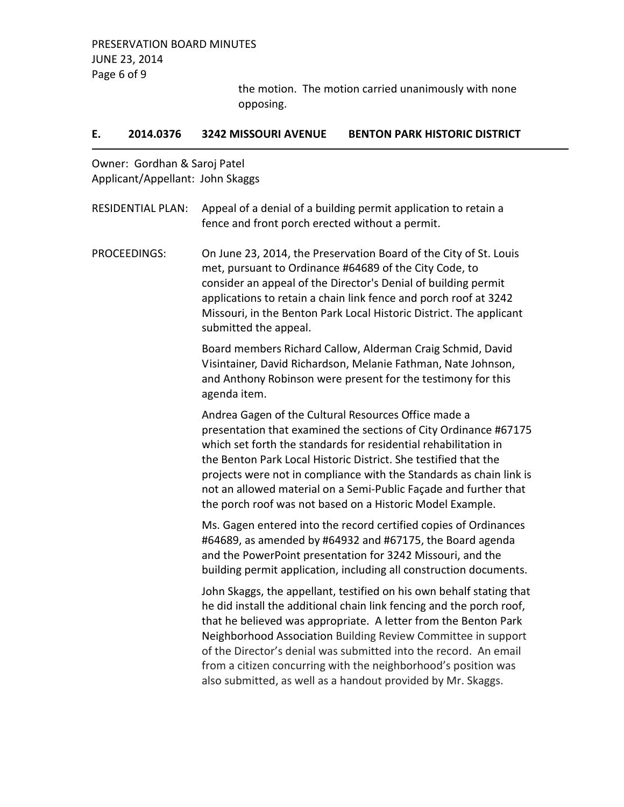the motion. The motion carried unanimously with none opposing.

### **E. 2014.0376 3242 MISSOURI AVENUE BENTON PARK HISTORIC DISTRICT**

Owner: Gordhan & Saroj Patel Applicant/Appellant: John Skaggs

| <b>RESIDENTIAL PLAN:</b> | Appeal of a denial of a building permit application to retain a<br>fence and front porch erected without a permit.                                                                                                                                                                                                                                                                                                                                                                     |
|--------------------------|----------------------------------------------------------------------------------------------------------------------------------------------------------------------------------------------------------------------------------------------------------------------------------------------------------------------------------------------------------------------------------------------------------------------------------------------------------------------------------------|
| <b>PROCEEDINGS:</b>      | On June 23, 2014, the Preservation Board of the City of St. Louis<br>met, pursuant to Ordinance #64689 of the City Code, to<br>consider an appeal of the Director's Denial of building permit<br>applications to retain a chain link fence and porch roof at 3242<br>Missouri, in the Benton Park Local Historic District. The applicant<br>submitted the appeal.                                                                                                                      |
|                          | Board members Richard Callow, Alderman Craig Schmid, David<br>Visintainer, David Richardson, Melanie Fathman, Nate Johnson,<br>and Anthony Robinson were present for the testimony for this<br>agenda item.                                                                                                                                                                                                                                                                            |
|                          | Andrea Gagen of the Cultural Resources Office made a<br>presentation that examined the sections of City Ordinance #67175<br>which set forth the standards for residential rehabilitation in<br>the Benton Park Local Historic District. She testified that the<br>projects were not in compliance with the Standards as chain link is<br>not an allowed material on a Semi-Public Façade and further that<br>the porch roof was not based on a Historic Model Example.                 |
|                          | Ms. Gagen entered into the record certified copies of Ordinances<br>#64689, as amended by #64932 and #67175, the Board agenda<br>and the PowerPoint presentation for 3242 Missouri, and the<br>building permit application, including all construction documents.                                                                                                                                                                                                                      |
|                          | John Skaggs, the appellant, testified on his own behalf stating that<br>he did install the additional chain link fencing and the porch roof,<br>that he believed was appropriate. A letter from the Benton Park<br>Neighborhood Association Building Review Committee in support<br>of the Director's denial was submitted into the record. An email<br>from a citizen concurring with the neighborhood's position was<br>also submitted, as well as a handout provided by Mr. Skaggs. |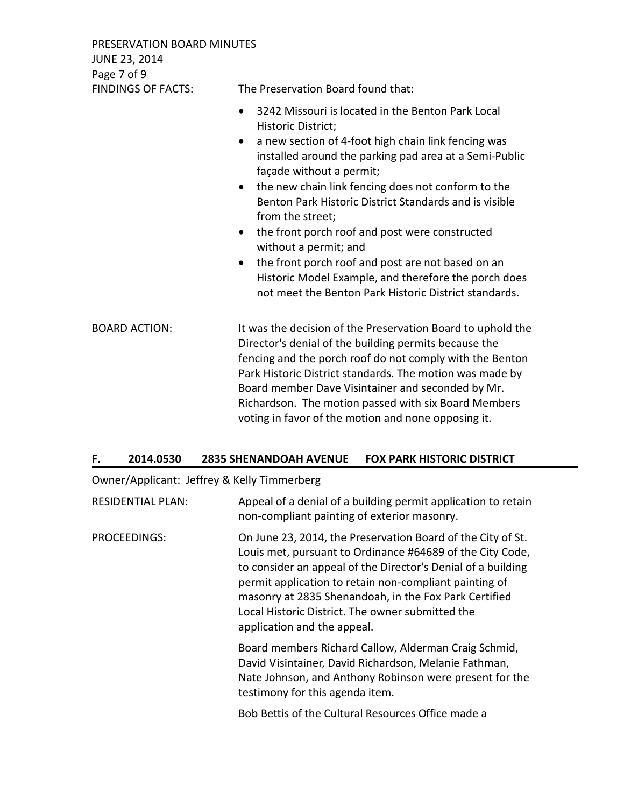PRESERVATION BOARD MINUTES JUNE 23, 2014 Page 7 of 9

FINDINGS OF FACTS: The Preservation Board found that:

- 3242 Missouri is located in the Benton Park Local Historic District;
- a new section of 4-foot high chain link fencing was installed around the parking pad area at a Semi-Public façade without a permit;
- the new chain link fencing does not conform to the Benton Park Historic District Standards and is visible from the street;
- the front porch roof and post were constructed without a permit; and
- the front porch roof and post are not based on an Historic Model Example, and therefore the porch does not meet the Benton Park Historic District standards.

BOARD ACTION: It was the decision of the Preservation Board to uphold the Director's denial of the building permits because the fencing and the porch roof do not comply with the Benton Park Historic District standards. The motion was made by Board member Dave Visintainer and seconded by Mr. Richardson. The motion passed with six Board Members voting in favor of the motion and none opposing it.

### **F. 2014.0530 2835 SHENANDOAH AVENUE FOX PARK HISTORIC DISTRICT**

Owner/Applicant: Jeffrey & Kelly Timmerberg

| <b>RESIDENTIAL PLAN:</b> | Appeal of a denial of a building permit application to retain<br>non-compliant painting of exterior masonry.                                                                                                                                                                                                                                                                                   |
|--------------------------|------------------------------------------------------------------------------------------------------------------------------------------------------------------------------------------------------------------------------------------------------------------------------------------------------------------------------------------------------------------------------------------------|
| PROCEEDINGS:             | On June 23, 2014, the Preservation Board of the City of St.<br>Louis met, pursuant to Ordinance #64689 of the City Code,<br>to consider an appeal of the Director's Denial of a building<br>permit application to retain non-compliant painting of<br>masonry at 2835 Shenandoah, in the Fox Park Certified<br>Local Historic District. The owner submitted the<br>application and the appeal. |
|                          | Board members Richard Callow, Alderman Craig Schmid,<br>David Visintainer, David Richardson, Melanie Fathman,<br>Nate Johnson, and Anthony Robinson were present for the<br>testimony for this agenda item.                                                                                                                                                                                    |
|                          | Bob Bettis of the Cultural Resources Office made a                                                                                                                                                                                                                                                                                                                                             |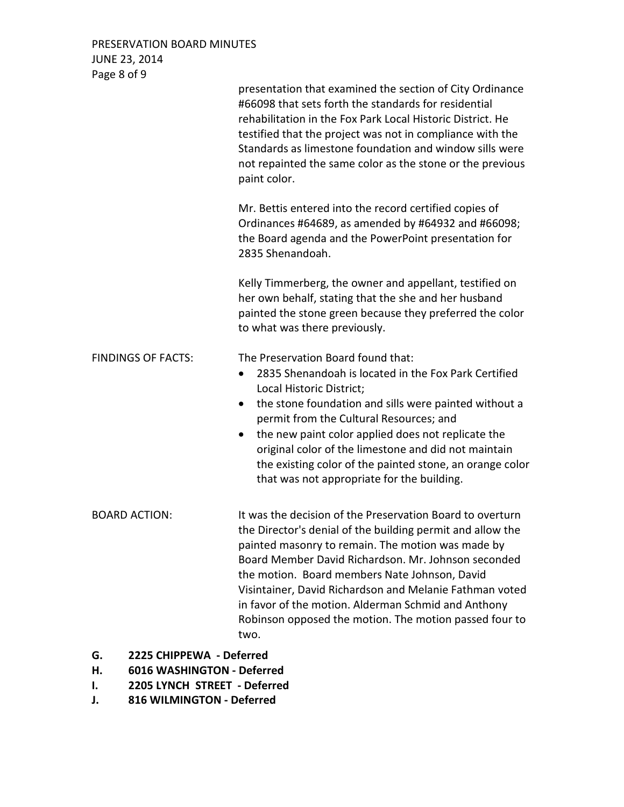PRESERVATION BOARD MINUTES JUNE 23, 2014 Page 8 of 9

|                                                                    | presentation that examined the section of City Ordinance<br>#66098 that sets forth the standards for residential<br>rehabilitation in the Fox Park Local Historic District. He<br>testified that the project was not in compliance with the<br>Standards as limestone foundation and window sills were<br>not repainted the same color as the stone or the previous<br>paint color.                                                                                               |
|--------------------------------------------------------------------|-----------------------------------------------------------------------------------------------------------------------------------------------------------------------------------------------------------------------------------------------------------------------------------------------------------------------------------------------------------------------------------------------------------------------------------------------------------------------------------|
|                                                                    | Mr. Bettis entered into the record certified copies of<br>Ordinances #64689, as amended by #64932 and #66098;<br>the Board agenda and the PowerPoint presentation for<br>2835 Shenandoah.                                                                                                                                                                                                                                                                                         |
|                                                                    | Kelly Timmerberg, the owner and appellant, testified on<br>her own behalf, stating that the she and her husband<br>painted the stone green because they preferred the color<br>to what was there previously.                                                                                                                                                                                                                                                                      |
| <b>FINDINGS OF FACTS:</b>                                          | The Preservation Board found that:<br>2835 Shenandoah is located in the Fox Park Certified<br>$\bullet$<br>Local Historic District;<br>the stone foundation and sills were painted without a<br>٠<br>permit from the Cultural Resources; and<br>the new paint color applied does not replicate the<br>$\bullet$<br>original color of the limestone and did not maintain<br>the existing color of the painted stone, an orange color<br>that was not appropriate for the building. |
| <b>BOARD ACTION:</b>                                               | It was the decision of the Preservation Board to overturn<br>the Director's denial of the building permit and allow the<br>painted masonry to remain. The motion was made by<br>Board Member David Richardson. Mr. Johnson seconded<br>the motion. Board members Nate Johnson, David<br>Visintainer, David Richardson and Melanie Fathman voted<br>in favor of the motion. Alderman Schmid and Anthony<br>Robinson opposed the motion. The motion passed four to<br>two.          |
| 2225 CHIPPEWA - Deferred<br>G.<br>н.<br>6016 WASHINGTON - Deferred |                                                                                                                                                                                                                                                                                                                                                                                                                                                                                   |

- **I. 2205 LYNCH STREET Deferred**
- **J. 816 WILMINGTON Deferred**